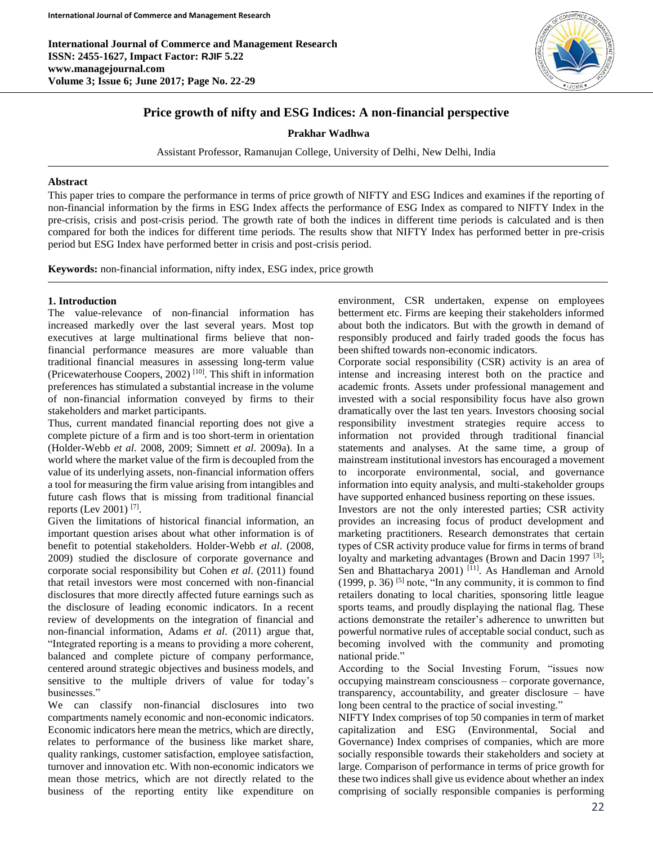**International Journal of Commerce and Management Research ISSN: 2455-1627, Impact Factor: RJIF 5.22 www.managejournal.com Volume 3; Issue 6; June 2017; Page No. 22-29**



# **Price growth of nifty and ESG Indices: A non-financial perspective**

#### **Prakhar Wadhwa**

Assistant Professor, Ramanujan College, University of Delhi, New Delhi, India

#### **Abstract**

This paper tries to compare the performance in terms of price growth of NIFTY and ESG Indices and examines if the reporting of non-financial information by the firms in ESG Index affects the performance of ESG Index as compared to NIFTY Index in the pre-crisis, crisis and post-crisis period. The growth rate of both the indices in different time periods is calculated and is then compared for both the indices for different time periods. The results show that NIFTY Index has performed better in pre-crisis period but ESG Index have performed better in crisis and post-crisis period.

**Keywords:** non-financial information, nifty index, ESG index, price growth

### **1. Introduction**

The value-relevance of non-financial information has increased markedly over the last several years. Most top executives at large multinational firms believe that nonfinancial performance measures are more valuable than traditional financial measures in assessing long-term value (Pricewaterhouse Coopers, 2002) [10]. This shift in information preferences has stimulated a substantial increase in the volume of non-financial information conveyed by firms to their stakeholders and market participants.

Thus, current mandated financial reporting does not give a complete picture of a firm and is too short-term in orientation (Holder-Webb *et al*. 2008, 2009; Simnett *et al*. 2009a). In a world where the market value of the firm is decoupled from the value of its underlying assets, non-financial information offers a tool for measuring the firm value arising from intangibles and future cash flows that is missing from traditional financial reports (Lev 2001)<sup>[7]</sup>.

Given the limitations of historical financial information, an important question arises about what other information is of benefit to potential stakeholders. Holder-Webb *et al*. (2008, 2009) studied the disclosure of corporate governance and corporate social responsibility but Cohen *et al*. (2011) found that retail investors were most concerned with non-financial disclosures that more directly affected future earnings such as the disclosure of leading economic indicators. In a recent review of developments on the integration of financial and non-financial information, Adams *et al*. (2011) argue that, "Integrated reporting is a means to providing a more coherent, balanced and complete picture of company performance, centered around strategic objectives and business models, and sensitive to the multiple drivers of value for today's businesses."

We can classify non-financial disclosures into two compartments namely economic and non-economic indicators. Economic indicators here mean the metrics, which are directly, relates to performance of the business like market share, quality rankings, customer satisfaction, employee satisfaction, turnover and innovation etc. With non-economic indicators we mean those metrics, which are not directly related to the business of the reporting entity like expenditure on environment, CSR undertaken, expense on employees betterment etc. Firms are keeping their stakeholders informed about both the indicators. But with the growth in demand of responsibly produced and fairly traded goods the focus has been shifted towards non-economic indicators.

Corporate social responsibility (CSR) activity is an area of intense and increasing interest both on the practice and academic fronts. Assets under professional management and invested with a social responsibility focus have also grown dramatically over the last ten years. Investors choosing social responsibility investment strategies require access to information not provided through traditional financial statements and analyses. At the same time, a group of mainstream institutional investors has encouraged a movement to incorporate environmental, social, and governance information into equity analysis, and multi-stakeholder groups have supported enhanced business reporting on these issues.

Investors are not the only interested parties; CSR activity provides an increasing focus of product development and marketing practitioners. Research demonstrates that certain types of CSR activity produce value for firms in terms of brand loyalty and marketing advantages (Brown and Dacin 1997<sup>[3]</sup>; Sen and Bhattacharya 2001) <sup>[11]</sup>. As Handleman and Arnold  $(1999, p. 36)$  [5] note, "In any community, it is common to find retailers donating to local charities, sponsoring little league sports teams, and proudly displaying the national flag. These actions demonstrate the retailer's adherence to unwritten but powerful normative rules of acceptable social conduct, such as becoming involved with the community and promoting national pride."

According to the Social Investing Forum, "issues now occupying mainstream consciousness – corporate governance, transparency, accountability, and greater disclosure – have long been central to the practice of social investing."

NIFTY Index comprises of top 50 companies in term of market capitalization and ESG (Environmental, Social and Governance) Index comprises of companies, which are more socially responsible towards their stakeholders and society at large. Comparison of performance in terms of price growth for these two indices shall give us evidence about whether an index comprising of socially responsible companies is performing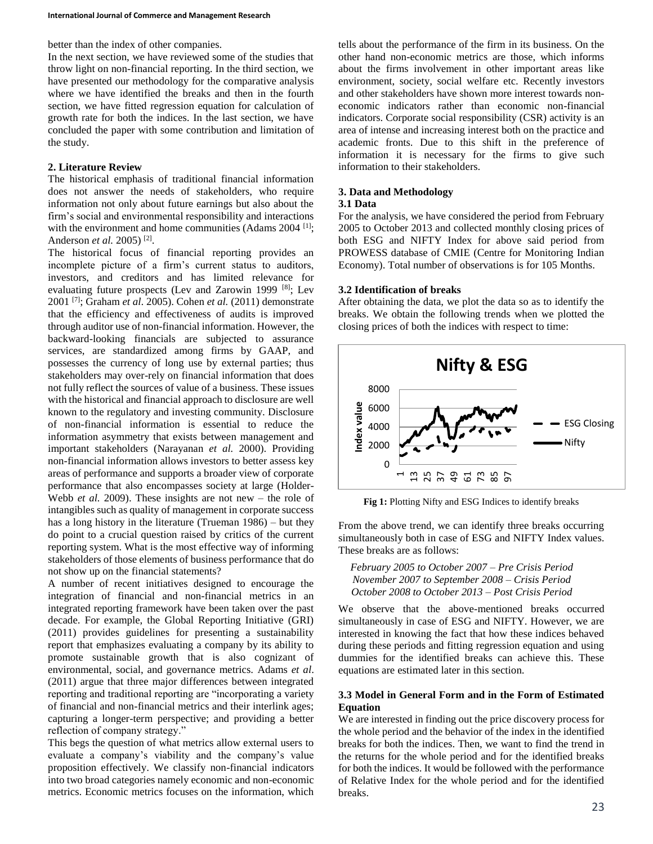better than the index of other companies.

In the next section, we have reviewed some of the studies that throw light on non-financial reporting. In the third section, we have presented our methodology for the comparative analysis where we have identified the breaks and then in the fourth section, we have fitted regression equation for calculation of growth rate for both the indices. In the last section, we have concluded the paper with some contribution and limitation of the study.

### **2. Literature Review**

The historical emphasis of traditional financial information does not answer the needs of stakeholders, who require information not only about future earnings but also about the firm's social and environmental responsibility and interactions with the environment and home communities (Adams 2004 [1]; Anderson *et al.* 2005)<sup>[2]</sup>.

The historical focus of financial reporting provides an incomplete picture of a firm's current status to auditors, investors, and creditors and has limited relevance for evaluating future prospects (Lev and Zarowin 1999 [8]; Lev 2001 [7]; Graham *et al*. 2005). Cohen *et al.* (2011) demonstrate that the efficiency and effectiveness of audits is improved through auditor use of non-financial information. However, the backward-looking financials are subjected to assurance services, are standardized among firms by GAAP, and possesses the currency of long use by external parties; thus stakeholders may over-rely on financial information that does not fully reflect the sources of value of a business. These issues with the historical and financial approach to disclosure are well known to the regulatory and investing community. Disclosure of non-financial information is essential to reduce the information asymmetry that exists between management and important stakeholders (Narayanan *et al.* 2000). Providing non-financial information allows investors to better assess key areas of performance and supports a broader view of corporate performance that also encompasses society at large (Holder-Webb *et al.* 2009). These insights are not new – the role of intangibles such as quality of management in corporate success has a long history in the literature (Trueman 1986) – but they do point to a crucial question raised by critics of the current reporting system. What is the most effective way of informing stakeholders of those elements of business performance that do not show up on the financial statements?

A number of recent initiatives designed to encourage the integration of financial and non-financial metrics in an integrated reporting framework have been taken over the past decade. For example, the Global Reporting Initiative (GRI) (2011) provides guidelines for presenting a sustainability report that emphasizes evaluating a company by its ability to promote sustainable growth that is also cognizant of environmental, social, and governance metrics. Adams *et al*. (2011) argue that three major differences between integrated reporting and traditional reporting are "incorporating a variety of financial and non-financial metrics and their interlink ages; capturing a longer-term perspective; and providing a better reflection of company strategy."

This begs the question of what metrics allow external users to evaluate a company's viability and the company's value proposition effectively. We classify non-financial indicators into two broad categories namely economic and non-economic metrics. Economic metrics focuses on the information, which tells about the performance of the firm in its business. On the other hand non-economic metrics are those, which informs about the firms involvement in other important areas like environment, society, social welfare etc. Recently investors and other stakeholders have shown more interest towards noneconomic indicators rather than economic non-financial indicators. Corporate social responsibility (CSR) activity is an area of intense and increasing interest both on the practice and academic fronts. Due to this shift in the preference of information it is necessary for the firms to give such information to their stakeholders.

### **3. Data and Methodology**

#### **3.1 Data**

For the analysis, we have considered the period from February 2005 to October 2013 and collected monthly closing prices of both ESG and NIFTY Index for above said period from PROWESS database of CMIE (Centre for Monitoring Indian Economy). Total number of observations is for 105 Months.

#### **3.2 Identification of breaks**

After obtaining the data, we plot the data so as to identify the breaks. We obtain the following trends when we plotted the closing prices of both the indices with respect to time:



**Fig 1:** Plotting Nifty and ESG Indices to identify breaks

From the above trend, we can identify three breaks occurring simultaneously both in case of ESG and NIFTY Index values. These breaks are as follows:

*February 2005 to October 2007 – Pre Crisis Period November 2007 to September 2008 – Crisis Period October 2008 to October 2013 – Post Crisis Period*

We observe that the above-mentioned breaks occurred simultaneously in case of ESG and NIFTY. However, we are interested in knowing the fact that how these indices behaved during these periods and fitting regression equation and using dummies for the identified breaks can achieve this. These equations are estimated later in this section.

### **3.3 Model in General Form and in the Form of Estimated Equation**

We are interested in finding out the price discovery process for the whole period and the behavior of the index in the identified breaks for both the indices. Then, we want to find the trend in the returns for the whole period and for the identified breaks for both the indices. It would be followed with the performance of Relative Index for the whole period and for the identified breaks.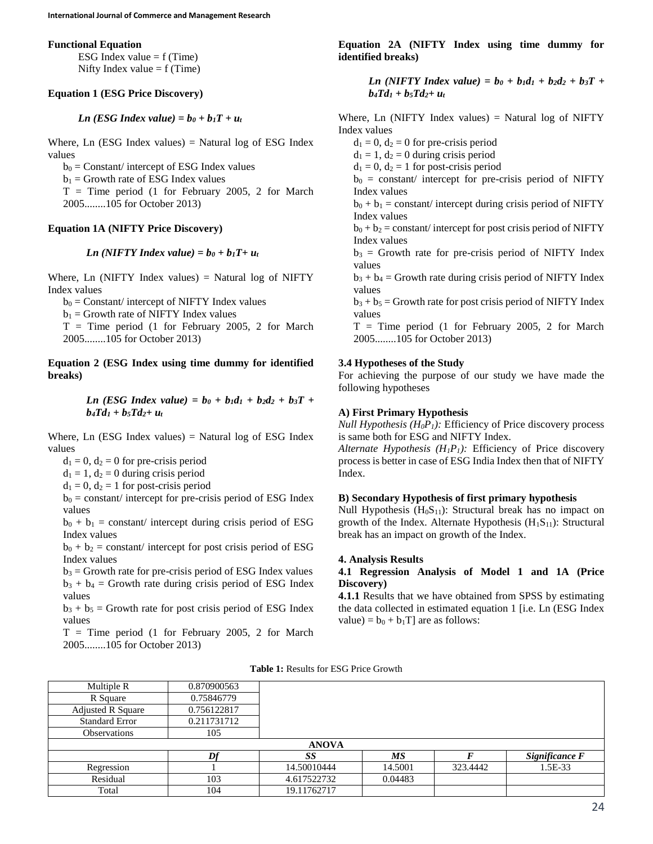#### **Functional Equation**

ESG Index value  $= f(Time)$ Nifty Index value  $= f$  (Time)

### **Equation 1 (ESG Price Discovery)**

*Ln* (*ESG Index value*) =  $b_0 + b_1T + u_t$ 

Where, Ln  $(ESG Index values) = Natural log of ESG Index$ values

 $b_0$  = Constant/ intercept of ESG Index values

 $b_1$  = Growth rate of ESG Index values

 $T =$  Time period (1 for February 2005, 2 for March 2005........105 for October 2013)

#### **Equation 1A (NIFTY Price Discovery)**

*Ln* (NIFTY Index value) =  $b_0 + b_1T + u_t$ 

Where, Ln (NIFTY Index values) = Natural log of NIFTY Index values

 $b_0$  = Constant/ intercept of NIFTY Index values

 $b_1$  = Growth rate of NIFTY Index values

 $T =$  Time period (1 for February 2005, 2 for March 2005........105 for October 2013)

**Equation 2 (ESG Index using time dummy for identified breaks)**

> *Ln* (*ESG Index value*) =  $b_0 + b_1d_1 + b_2d_2 + b_3T +$  $b_4Td_1 + b_5Td_2 + u_1$

Where, Ln  $(ESG Index values) = Natural log of ESG Index$ values

 $d_1 = 0$ ,  $d_2 = 0$  for pre-crisis period

 $d_1 = 1$ ,  $d_2 = 0$  during crisis period

 $d_1 = 0$ ,  $d_2 = 1$  for post-crisis period

 $b_0$  = constant/ intercept for pre-crisis period of ESG Index values

 $b_0 + b_1$  = constant/ intercept during crisis period of ESG Index values

 $b_0 + b_2$  = constant/ intercept for post crisis period of ESG Index values

 $b_3$  = Growth rate for pre-crisis period of ESG Index values  $b_3 + b_4 =$  Growth rate during crisis period of ESG Index values

 $b_3 + b_5 =$  Growth rate for post crisis period of ESG Index values

 $T =$  Time period (1 for February 2005, 2 for March 2005........105 for October 2013)

### **Equation 2A (NIFTY Index using time dummy for identified breaks)**

*Ln* (NIFTY Index value) =  $b_0 + b_1d_1 + b_2d_2 + b_3T + c_1d_3$  $b_4Td_1 + b_5Td_2 + u_1$ 

Where, Ln (NIFTY Index values) = Natural log of NIFTY Index values

 $d_1 = 0$ ,  $d_2 = 0$  for pre-crisis period

 $d_1 = 1$ ,  $d_2 = 0$  during crisis period

 $d_1 = 0$ ,  $d_2 = 1$  for post-crisis period

 $b_0$  = constant/ intercept for pre-crisis period of NIFTY Index values

 $b_0 + b_1 = \text{constant}/\text{intercept during crisis period of NIFTY}$ Index values

 $b_0 + b_2$  = constant/ intercept for post crisis period of NIFTY Index values

 $b_3$  = Growth rate for pre-crisis period of NIFTY Index values

 $b_3 + b_4 =$  Growth rate during crisis period of NIFTY Index values

 $b_3 + b_5 =$  Growth rate for post crisis period of NIFTY Index values

 $T =$  Time period (1 for February 2005, 2 for March 2005........105 for October 2013)

#### **3.4 Hypotheses of the Study**

For achieving the purpose of our study we have made the following hypotheses

#### **A) First Primary Hypothesis**

*Null Hypothesis (H<sub>0</sub>P<sub>1</sub>):* Efficiency of Price discovery process is same both for ESG and NIFTY Index.

*Alternate Hypothesis*  $(H_1P_1)$ *: Efficiency of Price discovery* process is better in case of ESG India Index then that of NIFTY Index.

### **B) Secondary Hypothesis of first primary hypothesis**

Null Hypothesis  $(H_0S_{11})$ : Structural break has no impact on growth of the Index. Alternate Hypothesis  $(H_1S_{11})$ : Structural break has an impact on growth of the Index.

#### **4. Analysis Results**

### **4.1 Regression Analysis of Model 1 and 1A (Price Discovery)**

**4.1.1** Results that we have obtained from SPSS by estimating the data collected in estimated equation 1 [i.e. Ln (ESG Index value) =  $b_0 + b_1T$ ] are as follows:

| Multiple R               | 0.870900563 |              |         |          |                |
|--------------------------|-------------|--------------|---------|----------|----------------|
| R Square                 | 0.75846779  |              |         |          |                |
| <b>Adjusted R Square</b> | 0.756122817 |              |         |          |                |
| <b>Standard Error</b>    | 0.211731712 |              |         |          |                |
| <b>Observations</b>      | 105         |              |         |          |                |
|                          |             |              |         |          |                |
|                          |             | <b>ANOVA</b> |         |          |                |
|                          | Df          | -SS          | МS      |          | Significance F |
| Regression               |             | 14.50010444  | 14.5001 | 323.4442 | 1.5E-33        |
| Residual                 | 103         | 4.617522732  | 0.04483 |          |                |

**Table 1:** Results for ESG Price Growth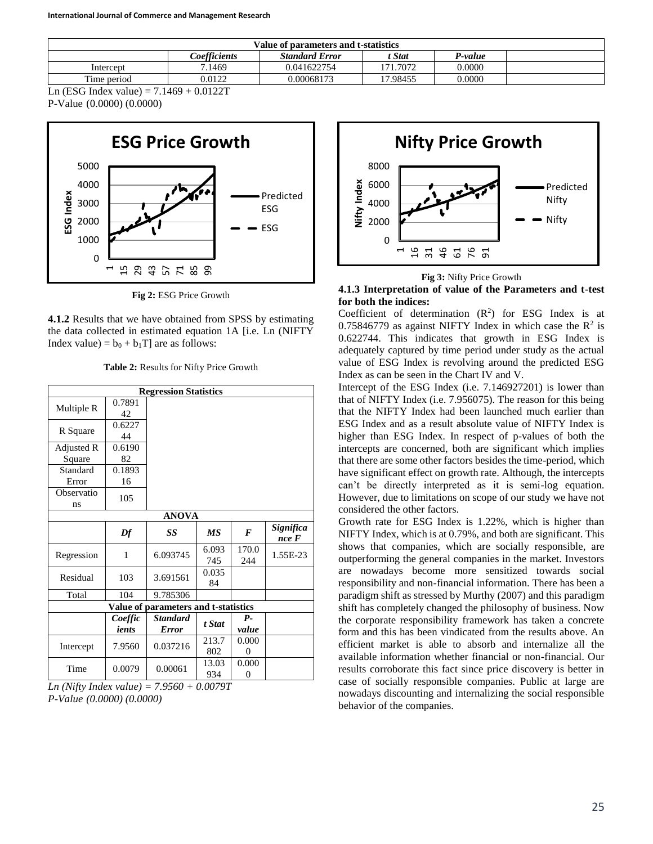| Value of parameters and t-statistics                              |        |             |          |        |  |  |
|-------------------------------------------------------------------|--------|-------------|----------|--------|--|--|
| Coefficients<br><b>Standard Error</b><br><b>P-value</b><br>t Stat |        |             |          |        |  |  |
| Intercept                                                         | 7.1469 | 0.041622754 | 171.7072 | 0.0000 |  |  |
| Time period                                                       | 0.0122 | 0.00068173  | 17.98455 | 0.0000 |  |  |

Ln (ESG Index value) =  $7.1469 + 0.0122T$ 

P-Value (0.0000) (0.0000)



**Fig 2:** ESG Price Growth

**4.1.2** Results that we have obtained from SPSS by estimating the data collected in estimated equation 1A [i.e. Ln (NIFTY Index value) =  $b_0 + b_1T$  are as follows:

**Table 2:** Results for Nifty Price Growth

| <b>Regression Statistics</b> |              |                                      |              |              |                    |  |
|------------------------------|--------------|--------------------------------------|--------------|--------------|--------------------|--|
| Multiple R                   | 0.7891<br>42 |                                      |              |              |                    |  |
| R Square                     | 0.6227<br>44 |                                      |              |              |                    |  |
| Adjusted R                   | 0.6190       |                                      |              |              |                    |  |
| Square                       | 82           |                                      |              |              |                    |  |
| Standard                     | 0.1893       |                                      |              |              |                    |  |
| Error                        | 16           |                                      |              |              |                    |  |
| Observatio<br>ns             | 105          |                                      |              |              |                    |  |
|                              |              | <b>ANOVA</b>                         |              |              |                    |  |
|                              | Df           | SS                                   | <b>MS</b>    | $\bm{F}$     | Significa<br>nce F |  |
| Regression                   | 1            | 6.093745                             | 6.093<br>745 | 170.0<br>244 | 1.55E-23           |  |
| Residual                     | 103          | 3.691561                             | 0.035<br>84  |              |                    |  |
| Total                        | 104          | 9.785306                             |              |              |                    |  |
|                              |              | Value of parameters and t-statistics |              |              |                    |  |
|                              | Coeffic      | <b>Standard</b>                      | t Stat       | $P_{\tau}$   |                    |  |
|                              | ients        | <b>Error</b>                         |              | value        |                    |  |
| Intercept                    | 7.9560       | 0.037216                             | 213.7        | 0.000        |                    |  |
|                              |              |                                      | 802          | 0            |                    |  |
| Time                         | 0.0079       | 0.00061                              | 13.03        | 0.000        |                    |  |
|                              |              |                                      | 934          | 0            |                    |  |

*Ln (Nifty Index value) = 7.9560 + 0.0079T P-Value (0.0000) (0.0000)*



**Fig 3:** Nifty Price Growth

#### **4.1.3 Interpretation of value of the Parameters and t-test for both the indices:**

Coefficient of determination  $(R^2)$  for ESG Index is at 0.75846779 as against NIFTY Index in which case the  $R^2$  is 0.622744. This indicates that growth in ESG Index is adequately captured by time period under study as the actual value of ESG Index is revolving around the predicted ESG Index as can be seen in the Chart IV and V.

Intercept of the ESG Index (i.e. 7.146927201) is lower than that of NIFTY Index (i.e. 7.956075). The reason for this being that the NIFTY Index had been launched much earlier than ESG Index and as a result absolute value of NIFTY Index is higher than ESG Index. In respect of p-values of both the intercepts are concerned, both are significant which implies that there are some other factors besides the time-period, which have significant effect on growth rate. Although, the intercepts can't be directly interpreted as it is semi-log equation. However, due to limitations on scope of our study we have not considered the other factors.

Growth rate for ESG Index is 1.22%, which is higher than NIFTY Index, which is at 0.79%, and both are significant. This shows that companies, which are socially responsible, are outperforming the general companies in the market. Investors are nowadays become more sensitized towards social responsibility and non-financial information. There has been a paradigm shift as stressed by Murthy (2007) and this paradigm shift has completely changed the philosophy of business. Now the corporate responsibility framework has taken a concrete form and this has been vindicated from the results above. An efficient market is able to absorb and internalize all the available information whether financial or non-financial. Our results corroborate this fact since price discovery is better in case of socially responsible companies. Public at large are nowadays discounting and internalizing the social responsible behavior of the companies.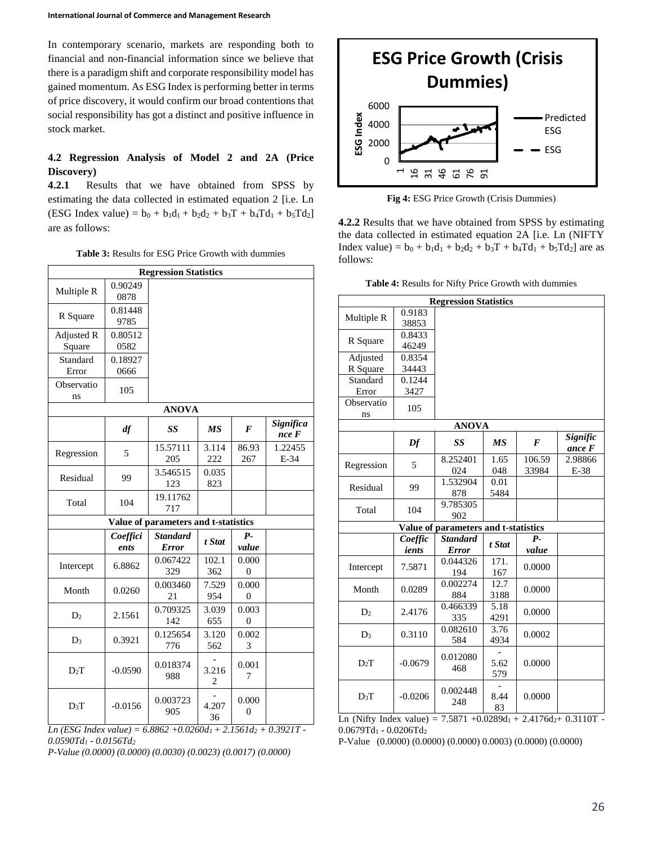In contemporary scenario, markets are responding both to financial and non-financial information since we believe that there is a paradigm shift and corporate responsibility model has gained momentum. As ESG Index is performing better in terms of price discovery, it would confirm our broad contentions that social responsibility has got a distinct and positive influence in stock market.

# **4.2 Regression Analysis of Model 2 and 2A (Price Discovery)**

**4.2.1** Results that we have obtained from SPSS by estimating the data collected in estimated equation 2 [i.e. Ln (ESG Index value) =  $b_0 + b_1d_1 + b_2d_2 + b_3T + b_4Td_1 + b_5Td_2$ ] are as follows:

**Table 3:** Results for ESG Price Growth with dummies

| <b>Regression Statistics</b> |                  |                                      |              |                         |                    |  |  |
|------------------------------|------------------|--------------------------------------|--------------|-------------------------|--------------------|--|--|
| Multiple R                   | 0.90249<br>0878  |                                      |              |                         |                    |  |  |
| R Square                     | 0.81448<br>9785  |                                      |              |                         |                    |  |  |
| Adjusted R<br>Square         | 0.80512<br>0582  |                                      |              |                         |                    |  |  |
| Standard<br>Error            | 0.18927<br>0666  |                                      |              |                         |                    |  |  |
| Observatio<br>ns             | 105              |                                      |              |                         |                    |  |  |
|                              |                  | <b>ANOVA</b>                         |              |                         |                    |  |  |
|                              | df               | SS                                   | МS           | F                       | Significa<br>nce F |  |  |
| Regression                   | 5                | 15.57111<br>205                      | 3.114<br>222 | 86.93<br>267            | 1.22455<br>E-34    |  |  |
| Residual                     | 99               | 3.546515<br>123                      | 0.035<br>823 |                         |                    |  |  |
| Total                        | 104              | 19.11762<br>717                      |              |                         |                    |  |  |
|                              |                  | Value of parameters and t-statistics |              |                         |                    |  |  |
|                              | Coeffici<br>ents | <b>Standard</b><br><b>Error</b>      | t Stat       | $P-$<br>value           |                    |  |  |
| Intercept                    | 6.8862           | 0.067422<br>329                      | 102.1<br>362 | 0.000<br>$\overline{0}$ |                    |  |  |
| Month                        | 0.0260           | 0.003460<br>21                       | 7.529<br>954 | 0.000<br>0              |                    |  |  |
| D <sub>2</sub>               | 2.1561           | 0.709325<br>142                      | 3.039<br>655 | 0.003<br>0              |                    |  |  |
| $D_3$                        | 0.3921           | 0.125654<br>776                      | 3.120<br>562 | 0.002<br>3              |                    |  |  |
| $D_2T$                       | $-0.0590$        | 0.018374<br>988                      | 3.216<br>2   | 0.001<br>7              |                    |  |  |
| $D_3T$                       | $-0.0156$        | 0.003723<br>905                      | 4.207<br>36  | 0.000<br>$\overline{0}$ |                    |  |  |

 $Ln$  (*ESG Index value*) = 6.8862 +0.0260d<sub>1</sub> + 2.1561d<sub>2</sub> + 0.3921T -*0.0590Td<sup>1</sup> - 0.0156Td<sup>2</sup>*

*P-Value (0.0000) (0.0000) (0.0030) (0.0023) (0.0017) (0.0000)*



**Fig 4:** ESG Price Growth (Crisis Dummies)

**4.2.2** Results that we have obtained from SPSS by estimating the data collected in estimated equation 2A [i.e. Ln (NIFTY Index value) =  $b_0 + b_1d_1 + b_2d_2 + b_3T + b_4Td_1 + b_5Td_2$  are as follows:

| <b>Regression Statistics</b> |           |                                      |           |        |          |  |  |
|------------------------------|-----------|--------------------------------------|-----------|--------|----------|--|--|
| Multiple R                   | 0.9183    |                                      |           |        |          |  |  |
|                              | 38853     |                                      |           |        |          |  |  |
| R Square                     | 0.8433    |                                      |           |        |          |  |  |
|                              | 46249     |                                      |           |        |          |  |  |
| Adjusted                     | 0.8354    |                                      |           |        |          |  |  |
| R Square                     | 34443     |                                      |           |        |          |  |  |
| Standard                     | 0.1244    |                                      |           |        |          |  |  |
| Error                        | 3427      |                                      |           |        |          |  |  |
| Observatio                   | 105       |                                      |           |        |          |  |  |
| ns                           |           |                                      |           |        |          |  |  |
|                              |           | <b>ANOVA</b>                         |           |        |          |  |  |
|                              | Df        | SS                                   | <b>MS</b> | F      | Signific |  |  |
|                              |           |                                      |           |        | ance F   |  |  |
| Regression                   | 5         | 8.252401                             | 1.65      | 106.59 | 2.98866  |  |  |
|                              |           | 024                                  | 048       | 33984  | $E-38$   |  |  |
| Residual                     | 99        | 1.532904                             | 0.01      |        |          |  |  |
|                              |           | 878                                  | 5484      |        |          |  |  |
| Total                        | 104       | 9.785305                             |           |        |          |  |  |
|                              |           | 902                                  |           |        |          |  |  |
|                              |           | Value of parameters and t-statistics |           |        |          |  |  |
|                              | Coeffic   | <b>Standard</b>                      | t Stat    | $P-$   |          |  |  |
|                              | ients     | <b>Error</b>                         |           | value  |          |  |  |
| Intercept                    | 7.5871    | 0.044326                             | 171.      | 0.0000 |          |  |  |
|                              |           | 194                                  | 167       |        |          |  |  |
| Month                        | 0.0289    | 0.002274                             | 12.7      | 0.0000 |          |  |  |
|                              |           | 884                                  | 3188      |        |          |  |  |
| D <sub>2</sub>               | 2.4176    | 0.466339                             | 5.18      | 0.0000 |          |  |  |
|                              |           | 335                                  | 4291      |        |          |  |  |
| $D_3$                        | 0.3110    | 0.082610                             | 3.76      | 0.0002 |          |  |  |
|                              |           | 584                                  | 4934      |        |          |  |  |
|                              |           | 0.012080                             |           |        |          |  |  |
| $D_2T$                       | $-0.0679$ | 468                                  | 5.62      | 0.0000 |          |  |  |
|                              |           |                                      | 579       |        |          |  |  |
| $D_3T$                       | $-0.0206$ | 0.002448                             | 8.44      | 0.0000 |          |  |  |
|                              |           | 248                                  |           |        |          |  |  |
|                              |           |                                      | 83        |        |          |  |  |

|  |  |  | Table 4: Results for Nifty Price Growth with dummies |
|--|--|--|------------------------------------------------------|
|  |  |  |                                                      |

Ln (Nifty Index value) =  $7.5871 +0.0289d_1 + 2.4176d_2 + 0.3110T$  -0.0679Td<sup>1</sup> - 0.0206Td<sup>2</sup>

P-Value (0.0000) (0.0000) (0.0000) 0.0003) (0.0000) (0.0000)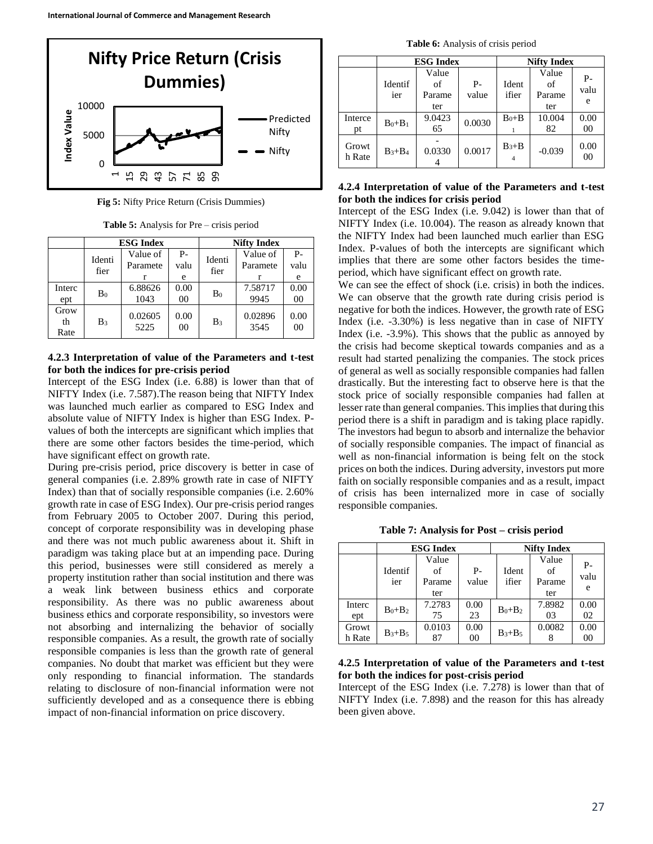

**Fig 5:** Nifty Price Return (Crisis Dummies)

**Table 5:** Analysis for Pre – crisis period

|                    |                | <b>ESG Index</b>     |                        | <b>Nifty Index</b> |                      |                        |
|--------------------|----------------|----------------------|------------------------|--------------------|----------------------|------------------------|
|                    | Identi<br>fier | Value of<br>Paramete | $P -$<br>valu<br>e     | Identi<br>fier     | Value of<br>Paramete | $P -$<br>valu<br>e     |
| Interc<br>ept      | B <sub>0</sub> | 6.88626<br>1043      | 0.00<br>00             | B <sub>0</sub>     | 7.58717<br>9945      | 0.00<br>00             |
| Grow<br>th<br>Rate | B <sub>3</sub> | 0.02605<br>5225      | 0.00<br>0 <sup>0</sup> | B <sub>3</sub>     | 0.02896<br>3545      | 0.00<br>0 <sup>0</sup> |

#### **4.2.3 Interpretation of value of the Parameters and t-test for both the indices for pre-crisis period**

Intercept of the ESG Index (i.e. 6.88) is lower than that of NIFTY Index (i.e. 7.587).The reason being that NIFTY Index was launched much earlier as compared to ESG Index and absolute value of NIFTY Index is higher than ESG Index. Pvalues of both the intercepts are significant which implies that there are some other factors besides the time-period, which have significant effect on growth rate.

During pre-crisis period, price discovery is better in case of general companies (i.e. 2.89% growth rate in case of NIFTY Index) than that of socially responsible companies (i.e. 2.60% growth rate in case of ESG Index). Our pre-crisis period ranges from February 2005 to October 2007. During this period, concept of corporate responsibility was in developing phase and there was not much public awareness about it. Shift in paradigm was taking place but at an impending pace. During this period, businesses were still considered as merely a property institution rather than social institution and there was a weak link between business ethics and corporate responsibility. As there was no public awareness about business ethics and corporate responsibility, so investors were not absorbing and internalizing the behavior of socially responsible companies. As a result, the growth rate of socially responsible companies is less than the growth rate of general companies. No doubt that market was efficient but they were only responding to financial information. The standards relating to disclosure of non-financial information were not sufficiently developed and as a consequence there is ebbing impact of non-financial information on price discovery.

**Table 6:** Analysis of crisis period

|                 |                | <b>ESG Index</b>             |               | <b>Nifty Index</b> |                              |                 |
|-----------------|----------------|------------------------------|---------------|--------------------|------------------------------|-----------------|
|                 | Identif<br>ier | Value<br>of<br>Parame<br>ter | $P-$<br>value | Ident<br>ifier     | Value<br>of<br>Parame<br>ter | Р-<br>valu<br>e |
| Interce<br>pt   | $B_0 + B_1$    | 9.0423<br>65                 | 0.0030        | $B_0 + B$          | 10.004<br>82                 | 0.00<br>00      |
| Growt<br>h Rate | $B_3 + B_4$    | 0.0330                       | 0.0017        | $B_3 + B$          | $-0.039$                     | 0.00<br>00      |

### **4.2.4 Interpretation of value of the Parameters and t-test for both the indices for crisis period**

Intercept of the ESG Index (i.e. 9.042) is lower than that of NIFTY Index (i.e. 10.004). The reason as already known that the NIFTY Index had been launched much earlier than ESG Index. P-values of both the intercepts are significant which implies that there are some other factors besides the timeperiod, which have significant effect on growth rate.

We can see the effect of shock (i.e. crisis) in both the indices. We can observe that the growth rate during crisis period is negative for both the indices. However, the growth rate of ESG Index (i.e. -3.30%) is less negative than in case of NIFTY Index (i.e. -3.9%). This shows that the public as annoyed by the crisis had become skeptical towards companies and as a result had started penalizing the companies. The stock prices of general as well as socially responsible companies had fallen drastically. But the interesting fact to observe here is that the stock price of socially responsible companies had fallen at lesser rate than general companies. This implies that during this period there is a shift in paradigm and is taking place rapidly. The investors had begun to absorb and internalize the behavior of socially responsible companies. The impact of financial as well as non-financial information is being felt on the stock prices on both the indices. During adversity, investors put more faith on socially responsible companies and as a result, impact of crisis has been internalized more in case of socially responsible companies.

**Table 7: Analysis for Post – crisis period**

|                 |                | <b>ESG Index</b>             |               | <b>Nifty Index</b> |                              |                 |
|-----------------|----------------|------------------------------|---------------|--------------------|------------------------------|-----------------|
|                 | Identif<br>ier | Value<br>of<br>Parame<br>ter | $P-$<br>value | Ident<br>ifier     | Value<br>of<br>Parame<br>ter | Р-<br>valu<br>e |
| Interc<br>ept   | $B_0 + B_2$    | 7.2783<br>75                 | 0.00<br>23    | $B_0 + B_2$        | 7.8982<br>03                 | 0.00<br>02      |
| Growt<br>h Rate | $B_3 + B_5$    | 0.0103<br>87                 | 0.00<br>00    | $B_3 + B_5$        | 0.0082                       | 0.00<br>00      |

#### **4.2.5 Interpretation of value of the Parameters and t-test for both the indices for post-crisis period**

Intercept of the ESG Index (i.e. 7.278) is lower than that of NIFTY Index (i.e. 7.898) and the reason for this has already been given above.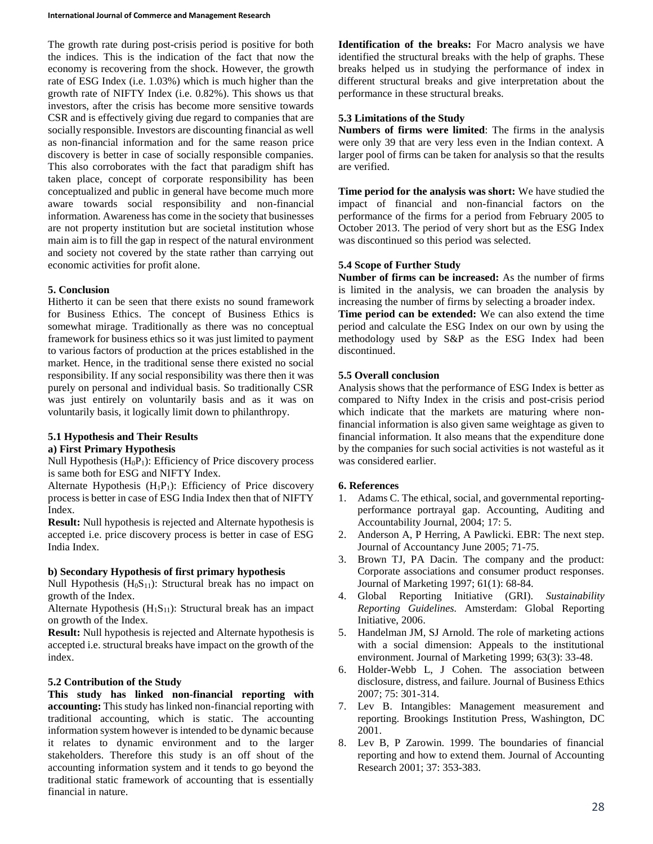The growth rate during post-crisis period is positive for both the indices. This is the indication of the fact that now the economy is recovering from the shock. However, the growth rate of ESG Index (i.e. 1.03%) which is much higher than the growth rate of NIFTY Index (i.e. 0.82%). This shows us that investors, after the crisis has become more sensitive towards CSR and is effectively giving due regard to companies that are socially responsible. Investors are discounting financial as well as non-financial information and for the same reason price discovery is better in case of socially responsible companies. This also corroborates with the fact that paradigm shift has taken place, concept of corporate responsibility has been conceptualized and public in general have become much more aware towards social responsibility and non-financial information. Awareness has come in the society that businesses are not property institution but are societal institution whose main aim is to fill the gap in respect of the natural environment and society not covered by the state rather than carrying out economic activities for profit alone.

## **5. Conclusion**

Hitherto it can be seen that there exists no sound framework for Business Ethics. The concept of Business Ethics is somewhat mirage. Traditionally as there was no conceptual framework for business ethics so it was just limited to payment to various factors of production at the prices established in the market. Hence, in the traditional sense there existed no social responsibility. If any social responsibility was there then it was purely on personal and individual basis. So traditionally CSR was just entirely on voluntarily basis and as it was on voluntarily basis, it logically limit down to philanthropy.

#### **5.1 Hypothesis and Their Results a) First Primary Hypothesis**

Null Hypothesis  $(H<sub>0</sub>P<sub>1</sub>)$ : Efficiency of Price discovery process is same both for ESG and NIFTY Index.

Alternate Hypothesis  $(H_1P_1)$ : Efficiency of Price discovery process is better in case of ESG India Index then that of NIFTY Index.

**Result:** Null hypothesis is rejected and Alternate hypothesis is accepted i.e. price discovery process is better in case of ESG India Index.

### **b) Secondary Hypothesis of first primary hypothesis**

Null Hypothesis  $(H_0S_{11})$ : Structural break has no impact on growth of the Index.

Alternate Hypothesis  $(H_1S_{11})$ : Structural break has an impact on growth of the Index.

**Result:** Null hypothesis is rejected and Alternate hypothesis is accepted i.e. structural breaks have impact on the growth of the index.

### **5.2 Contribution of the Study**

**This study has linked non-financial reporting with accounting:** This study has linked non-financial reporting with traditional accounting, which is static. The accounting information system however is intended to be dynamic because it relates to dynamic environment and to the larger stakeholders. Therefore this study is an off shout of the accounting information system and it tends to go beyond the traditional static framework of accounting that is essentially financial in nature.

**Identification of the breaks:** For Macro analysis we have identified the structural breaks with the help of graphs. These breaks helped us in studying the performance of index in different structural breaks and give interpretation about the performance in these structural breaks.

### **5.3 Limitations of the Study**

**Numbers of firms were limited**: The firms in the analysis were only 39 that are very less even in the Indian context. A larger pool of firms can be taken for analysis so that the results are verified.

**Time period for the analysis was short:** We have studied the impact of financial and non-financial factors on the performance of the firms for a period from February 2005 to October 2013. The period of very short but as the ESG Index was discontinued so this period was selected.

### **5.4 Scope of Further Study**

**Number of firms can be increased:** As the number of firms is limited in the analysis, we can broaden the analysis by increasing the number of firms by selecting a broader index.

**Time period can be extended:** We can also extend the time period and calculate the ESG Index on our own by using the methodology used by S&P as the ESG Index had been discontinued.

### **5.5 Overall conclusion**

Analysis shows that the performance of ESG Index is better as compared to Nifty Index in the crisis and post-crisis period which indicate that the markets are maturing where nonfinancial information is also given same weightage as given to financial information. It also means that the expenditure done by the companies for such social activities is not wasteful as it was considered earlier.

### **6. References**

- 1. Adams C. The ethical, social, and governmental reportingperformance portrayal gap. Accounting, Auditing and Accountability Journal, 2004; 17: 5.
- 2. Anderson A, P Herring, A Pawlicki. EBR: The next step. Journal of Accountancy June 2005; 71-75.
- 3. Brown TJ, PA Dacin. The company and the product: Corporate associations and consumer product responses. Journal of Marketing 1997; 61(1): 68-84.
- 4. Global Reporting Initiative (GRI). *Sustainability Reporting Guidelines.* Amsterdam: Global Reporting Initiative, 2006.
- 5. Handelman JM, SJ Arnold. The role of marketing actions with a social dimension: Appeals to the institutional environment. Journal of Marketing 1999; 63(3): 33-48.
- 6. Holder-Webb L, J Cohen. The association between disclosure, distress, and failure*.* Journal of Business Ethics 2007; 75: 301-314.
- 7. Lev B. Intangibles: Management measurement and reporting. Brookings Institution Press, Washington, DC 2001.
- 8. Lev B, P Zarowin. 1999. The boundaries of financial reporting and how to extend them. Journal of Accounting Research 2001; 37: 353-383.